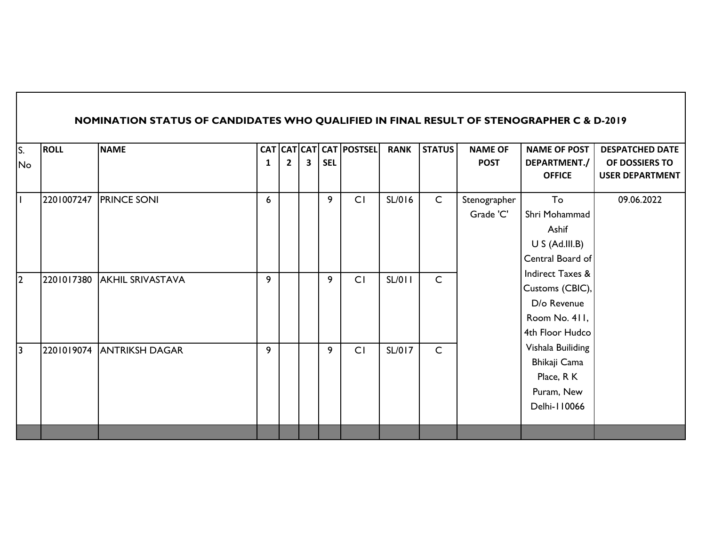|    |             | NOMINATION STATUS OF CANDIDATES WHO QUALIFIED IN FINAL RESULT OF STENOGRAPHER C & D-2019 |   |   |   |            |                         |             |               |                |                     |                        |
|----|-------------|------------------------------------------------------------------------------------------|---|---|---|------------|-------------------------|-------------|---------------|----------------|---------------------|------------------------|
| S. | <b>ROLL</b> | <b>NAME</b>                                                                              |   |   |   |            | CAT CAT CAT CAT POSTSEL | <b>RANK</b> | <b>STATUS</b> | <b>NAME OF</b> | <b>NAME OF POST</b> | <b>DESPATCHED DATE</b> |
| No |             |                                                                                          | 1 | 2 | 3 | <b>SEL</b> |                         |             |               | <b>POST</b>    | DEPARTMENT./        | OF DOSSIERS TO         |
|    |             |                                                                                          |   |   |   |            |                         |             |               |                | <b>OFFICE</b>       | <b>USER DEPARTMENT</b> |
|    | 2201007247  | <b>PRINCE SONI</b>                                                                       | 6 |   |   | 9          | CI                      | SL/016      | $\mathsf{C}$  | Stenographer   | To                  | 09.06.2022             |
|    |             |                                                                                          |   |   |   |            |                         |             |               | Grade 'C'      | Shri Mohammad       |                        |
|    |             |                                                                                          |   |   |   |            |                         |             |               |                | Ashif               |                        |
|    |             |                                                                                          |   |   |   |            |                         |             |               |                | U S (Ad. III.B)     |                        |
|    |             |                                                                                          |   |   |   |            |                         |             |               |                | Central Board of    |                        |
| 2  | 2201017380  | <b>AKHIL SRIVASTAVA</b>                                                                  | 9 |   |   | 9          | CI                      | SL/011      | $\mathsf{C}$  |                | Indirect Taxes &    |                        |
|    |             |                                                                                          |   |   |   |            |                         |             |               |                | Customs (CBIC),     |                        |
|    |             |                                                                                          |   |   |   |            |                         |             |               |                | D/o Revenue         |                        |
|    |             |                                                                                          |   |   |   |            |                         |             |               |                | Room No. 411,       |                        |
|    |             |                                                                                          |   |   |   |            |                         |             |               |                | 4th Floor Hudco     |                        |
| 13 | 2201019074  | <b>ANTRIKSH DAGAR</b>                                                                    | 9 |   |   | 9          | CI                      | SL/017      | $\mathsf{C}$  |                | Vishala Builiding   |                        |
|    |             |                                                                                          |   |   |   |            |                         |             |               |                | Bhikaji Cama        |                        |
|    |             |                                                                                          |   |   |   |            |                         |             |               |                | Place, R K          |                        |
|    |             |                                                                                          |   |   |   |            |                         |             |               |                | Puram, New          |                        |
|    |             |                                                                                          |   |   |   |            |                         |             |               |                | Delhi-110066        |                        |
|    |             |                                                                                          |   |   |   |            |                         |             |               |                |                     |                        |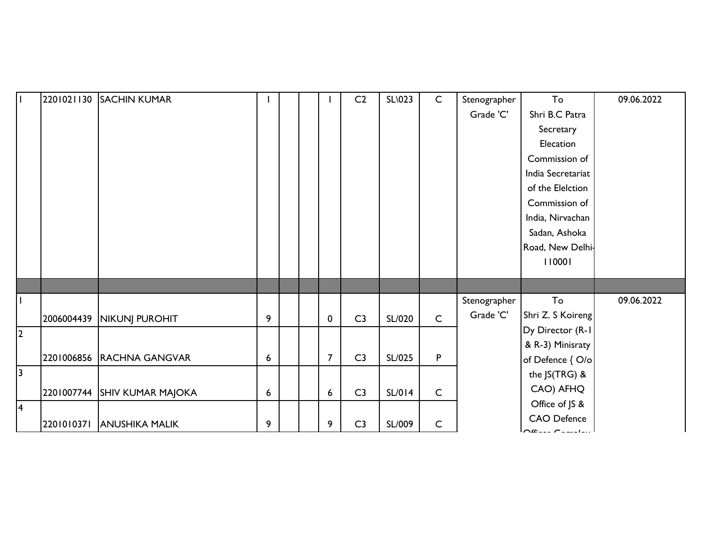| T              | 2201021130 | <b>SACHIN KUMAR</b>          |   |  |                | C <sub>2</sub> | <b>SL\023</b> | $\mathsf C$  | Stenographer | To                  | 09.06.2022 |
|----------------|------------|------------------------------|---|--|----------------|----------------|---------------|--------------|--------------|---------------------|------------|
|                |            |                              |   |  |                |                |               |              | Grade 'C'    | Shri B.C Patra      |            |
|                |            |                              |   |  |                |                |               |              |              | Secretary           |            |
|                |            |                              |   |  |                |                |               |              |              | Elecation           |            |
|                |            |                              |   |  |                |                |               |              |              | Commission of       |            |
|                |            |                              |   |  |                |                |               |              |              | India Secretariat   |            |
|                |            |                              |   |  |                |                |               |              |              | of the Elelction    |            |
|                |            |                              |   |  |                |                |               |              |              | Commission of       |            |
|                |            |                              |   |  |                |                |               |              |              | India, Nirvachan    |            |
|                |            |                              |   |  |                |                |               |              |              | Sadan, Ashoka       |            |
|                |            |                              |   |  |                |                |               |              |              | Road, New Delhi-    |            |
|                |            |                              |   |  |                |                |               |              |              | 110001              |            |
|                |            |                              |   |  |                |                |               |              |              |                     |            |
| $\mathbf{I}$   |            |                              |   |  |                |                |               |              | Stenographer | To                  | 09.06.2022 |
|                |            |                              |   |  |                | C <sub>3</sub> |               | $\mathsf{C}$ | Grade 'C'    | Shri Z. S Koireng   |            |
| $\overline{2}$ | 2006004439 | NIKUNJ PUROHIT               | 9 |  | 0              |                | SL/020        |              |              | Dy Director (R-1)   |            |
|                |            |                              |   |  |                |                |               |              |              | & R-3) Minisraty    |            |
|                |            | 2201006856 RACHNA GANGVAR    | 6 |  | $\overline{7}$ | C <sub>3</sub> | SL/025        | $\mathsf{P}$ |              | of Defence { O/o    |            |
| $\overline{3}$ |            |                              |   |  |                |                |               |              |              | the JS(TRG) &       |            |
|                |            | 2201007744 SHIV KUMAR MAJOKA | 6 |  | 6              | C <sub>3</sub> | SL/014        | $\mathsf C$  |              | CAO) AFHQ           |            |
| 4              |            |                              |   |  |                |                |               |              |              | Office of JS &      |            |
|                | 2201010371 | <b>ANUSHIKA MALIK</b>        | 9 |  | 9              | C <sub>3</sub> | SL/009        | $\mathsf C$  |              | <b>CAO Defence</b>  |            |
|                |            |                              |   |  |                |                |               |              |              | $\bigcap_{i=1}^{n}$ |            |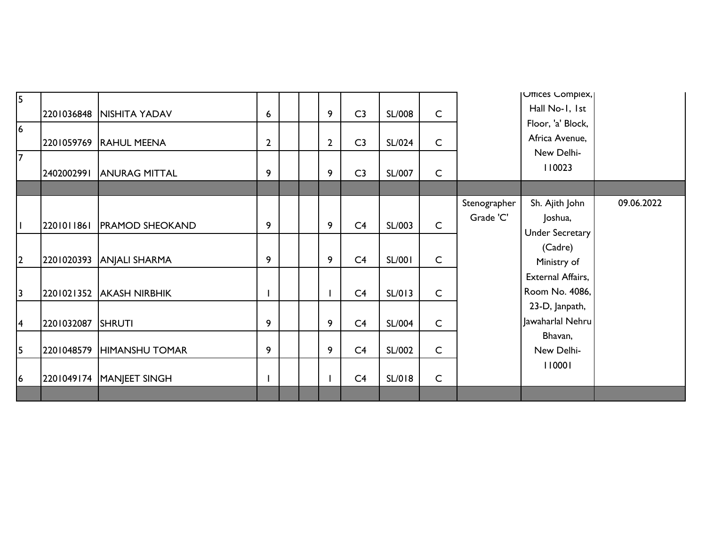| 5              |            |                          |              |  |                |                |               |              |              | Uffices Complex,         |            |
|----------------|------------|--------------------------|--------------|--|----------------|----------------|---------------|--------------|--------------|--------------------------|------------|
|                | 2201036848 | <b>NISHITA YADAV</b>     | 6            |  | 9              | C <sub>3</sub> | SL/008        | $\mathsf{C}$ |              | Hall No-1, 1st           |            |
| $\overline{6}$ |            |                          |              |  |                |                |               |              |              | Floor, 'a' Block,        |            |
|                | 2201059769 | <b>RAHUL MEENA</b>       | $\mathbf{2}$ |  | $\overline{2}$ | C <sub>3</sub> | SL/024        | C            |              | Africa Avenue,           |            |
| $\overline{7}$ |            |                          |              |  |                |                |               |              |              | New Delhi-               |            |
|                | 2402002991 | <b>ANURAG MITTAL</b>     | 9            |  | 9              | C <sub>3</sub> | SL/007        | $\mathsf{C}$ |              | 110023                   |            |
|                |            |                          |              |  |                |                |               |              |              |                          |            |
|                |            |                          |              |  |                |                |               |              | Stenographer | Sh. Ajith John           | 09.06.2022 |
|                |            |                          |              |  |                |                |               | $\mathsf{C}$ | Grade 'C'    | Joshua,                  |            |
|                | 2201011861 | <b>PRAMOD SHEOKAND</b>   | 9            |  | 9              | C <sub>4</sub> | SL/003        |              |              | <b>Under Secretary</b>   |            |
|                |            |                          |              |  |                |                |               |              |              | (Cadre)                  |            |
| $\overline{2}$ |            | 2201020393 ANJALI SHARMA | 9            |  | 9              | C <sub>4</sub> | <b>SL/001</b> | C            |              | Ministry of              |            |
|                |            |                          |              |  |                |                |               |              |              | <b>External Affairs,</b> |            |
| $\overline{3}$ | 2201021352 | <b>AKASH NIRBHIK</b>     |              |  |                | C <sub>4</sub> | SL/013        | $\mathsf{C}$ |              | Room No. 4086,           |            |
|                |            |                          |              |  |                |                |               |              |              | 23-D, Janpath,           |            |
| $\overline{4}$ | 2201032087 | <b>SHRUTI</b>            | 9            |  | 9              | C <sub>4</sub> | <b>SL/004</b> | $\mathsf{C}$ |              | Jawaharlal Nehru         |            |
|                |            |                          |              |  |                |                |               |              |              | Bhavan,                  |            |
| 5              | 2201048579 | <b>HIMANSHU TOMAR</b>    | 9            |  | 9              | C4             | SL/002        | $\mathsf{C}$ |              | New Delhi-               |            |
|                |            |                          |              |  |                |                |               |              |              | 110001                   |            |
| 6              | 2201049174 | MANJEET SINGH            |              |  |                | C4             | SL/018        | $\mathsf{C}$ |              |                          |            |
|                |            |                          |              |  |                |                |               |              |              |                          |            |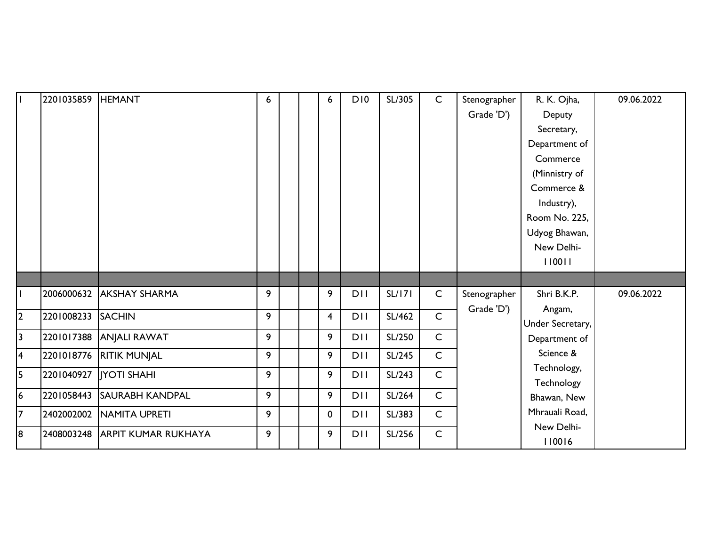|                         | 2201035859 | <b>HEMANT</b>              | 6 |  | 6                       | D10        | SL/305 | $\mathsf{C}$ | Stenographer | R. K. Ojha,          | 09.06.2022 |
|-------------------------|------------|----------------------------|---|--|-------------------------|------------|--------|--------------|--------------|----------------------|------------|
|                         |            |                            |   |  |                         |            |        |              | Grade 'D')   | Deputy               |            |
|                         |            |                            |   |  |                         |            |        |              |              | Secretary,           |            |
|                         |            |                            |   |  |                         |            |        |              |              | Department of        |            |
|                         |            |                            |   |  |                         |            |        |              |              | Commerce             |            |
|                         |            |                            |   |  |                         |            |        |              |              | (Minnistry of        |            |
|                         |            |                            |   |  |                         |            |        |              |              | Commerce &           |            |
|                         |            |                            |   |  |                         |            |        |              |              | Industry),           |            |
|                         |            |                            |   |  |                         |            |        |              |              | Room No. 225,        |            |
|                         |            |                            |   |  |                         |            |        |              |              | Udyog Bhawan,        |            |
|                         |            |                            |   |  |                         |            |        |              |              | New Delhi-           |            |
|                         |            |                            |   |  |                         |            |        |              |              | 110011               |            |
|                         |            |                            |   |  |                         |            |        |              |              |                      |            |
|                         | 2006000632 | <b>AKSHAY SHARMA</b>       | 9 |  | 9                       | <b>DII</b> | SL/171 |              |              | Shri B.K.P.          |            |
|                         |            |                            |   |  |                         |            |        | $\mathsf{C}$ | Stenographer |                      | 09.06.2022 |
|                         |            |                            |   |  |                         |            |        |              | Grade 'D')   | Angam,               |            |
| 2                       | 2201008233 | <b>SACHIN</b>              | 9 |  | $\overline{\mathbf{4}}$ | <b>DII</b> | SL/462 | $\mathsf{C}$ |              | Under Secretary,     |            |
| $\overline{\mathbf{3}}$ | 2201017388 | <b>ANJALI RAWAT</b>        | 9 |  | 9                       | DII        | SL/250 | $\mathsf{C}$ |              | Department of        |            |
| $\overline{\mathbf{4}}$ | 2201018776 | <b>RITIK MUNJAL</b>        | 9 |  | 9                       | <b>DII</b> | SL/245 | $\mathsf{C}$ |              | Science &            |            |
| 5                       | 2201040927 | <b>IYOTI SHAHI</b>         | 9 |  | 9                       | DII        | SL/243 | $\mathsf{C}$ |              | Technology,          |            |
|                         |            |                            |   |  |                         |            |        |              |              | Technology           |            |
| 6                       | 2201058443 | <b>SAURABH KANDPAL</b>     | 9 |  | 9                       | <b>DII</b> | SL/264 | $\mathsf{C}$ |              | Bhawan, New          |            |
| $\overline{7}$          | 2402002002 | <b>NAMITA UPRETI</b>       | 9 |  | $\mathbf 0$             | <b>DII</b> | SL/383 | $\mathsf{C}$ |              | Mhrauali Road,       |            |
| 8                       | 2408003248 | <b>ARPIT KUMAR RUKHAYA</b> | 9 |  | 9                       | <b>DII</b> | SL/256 | $\mathsf{C}$ |              | New Delhi-<br>110016 |            |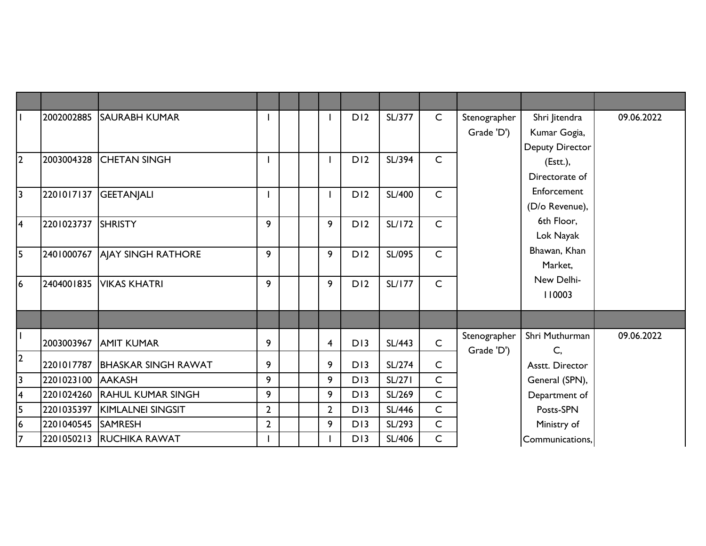|                         | 2002002885         | <b>SAURABH KUMAR</b>          |                |  |                         | D12 | SL/377        | $\mathsf{C}$ | Stenographer<br>Grade 'D') | Shri Jitendra<br>Kumar Gogia,<br>Deputy Director | 09.06.2022 |
|-------------------------|--------------------|-------------------------------|----------------|--|-------------------------|-----|---------------|--------------|----------------------------|--------------------------------------------------|------------|
| l2                      | 2003004328         | <b>ICHETAN SINGH</b>          |                |  |                         | D12 | SL/394        | $\mathsf{C}$ |                            | (Est.)<br>Directorate of                         |            |
| $\sqrt{3}$              | 2201017137         | <b>GEETANJALI</b>             |                |  |                         | D12 | <b>SL/400</b> | $\mathsf{C}$ |                            | Enforcement<br>(D/o Revenue),                    |            |
| 4                       | 2201023737 SHRISTY |                               | 9              |  | 9                       | D12 | SL/172        | $\mathsf{C}$ |                            | 6th Floor,<br>Lok Nayak                          |            |
| $\overline{5}$          |                    | 2401000767 AJAY SINGH RATHORE | 9              |  | 9                       | D12 | SL/095        | $\mathsf{C}$ |                            | Bhawan, Khan<br>Market,                          |            |
| 6                       | 2404001835         | <b>VIKAS KHATRI</b>           | 9              |  | 9                       | D12 | <b>SL/177</b> | $\mathsf{C}$ |                            | New Delhi-<br>110003                             |            |
|                         |                    |                               |                |  |                         |     |               |              |                            |                                                  |            |
| $\vert$                 | 2003003967         | <b>AMIT KUMAR</b>             | 9              |  | $\overline{\mathbf{4}}$ | D13 | <b>SL/443</b> | $\mathsf{C}$ | Stenographer<br>Grade 'D') | Shri Muthurman<br>C,                             | 09.06.2022 |
| $\overline{2}$          | 2201017787         | <b>BHASKAR SINGH RAWAT</b>    | 9              |  | 9                       | D13 | SL/274        | $\mathsf{C}$ |                            | Asstt. Director                                  |            |
| $\overline{3}$          | 2201023100 AAKASH  |                               | 9              |  | 9                       | D13 | SL/271        | $\mathsf{C}$ |                            | General (SPN),                                   |            |
| 4                       |                    | 2201024260 RAHUL KUMAR SINGH  | 9              |  | 9                       | D13 | SL/269        | $\mathsf{C}$ |                            | Department of                                    |            |
| $\overline{\mathbf{5}}$ |                    | 2201035397 KIMLALNEI SINGSIT  | $\overline{2}$ |  | $\overline{2}$          | D13 | SL/446        | $\mathsf{C}$ |                            | Posts-SPN                                        |            |
| 6                       | 2201040545 SAMRESH |                               | $\overline{2}$ |  | 9                       | D13 | SL/293        | C            |                            | Ministry of                                      |            |
| 7                       |                    | 2201050213 RUCHIKA RAWAT      |                |  |                         | D13 | SL/406        | $\mathsf{C}$ |                            | Communications,                                  |            |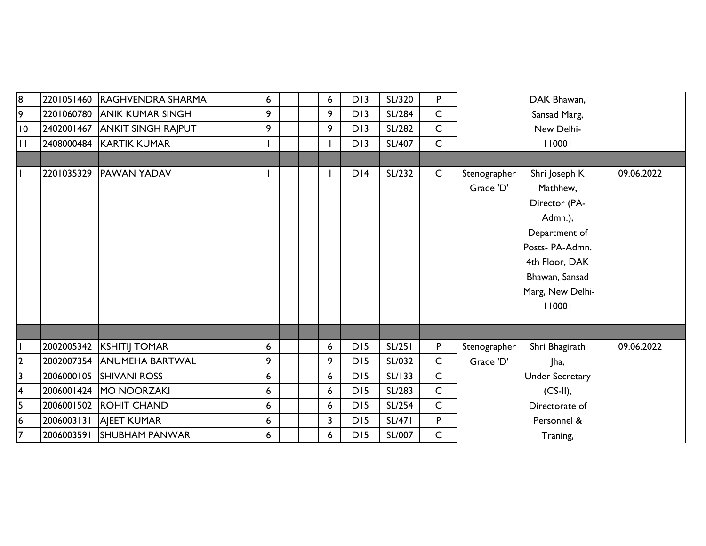| 8                       |            | 2201051460 RAGHVENDRA SHARMA  | 6                |  | 6            | D13             | SL/320        | P            |              | DAK Bhawan,            |            |
|-------------------------|------------|-------------------------------|------------------|--|--------------|-----------------|---------------|--------------|--------------|------------------------|------------|
| 9                       | 2201060780 | <b>ANIK KUMAR SINGH</b>       | 9                |  | 9            | D13             | SL/284        | $\mathsf{C}$ |              | Sansad Marg,           |            |
| 10                      |            | 2402001467 ANKIT SINGH RAJPUT | 9                |  | 9            | D13             | SL/282        | $\mathsf{C}$ |              | New Delhi-             |            |
| $\mathbf{H}$            |            | 2408000484 KARTIK KUMAR       |                  |  |              | D13             | SL/407        | $\mathsf{C}$ |              | 110001                 |            |
|                         |            |                               |                  |  |              |                 |               |              |              |                        |            |
|                         |            | 2201035329 PAWAN YADAV        |                  |  |              | DI4             | SL/232        | $\mathsf{C}$ | Stenographer | Shri Joseph K          | 09.06.2022 |
|                         |            |                               |                  |  |              |                 |               |              | Grade 'D'    | Mathhew,               |            |
|                         |            |                               |                  |  |              |                 |               |              |              | Director (PA-          |            |
|                         |            |                               |                  |  |              |                 |               |              |              | Admn.),                |            |
|                         |            |                               |                  |  |              |                 |               |              |              | Department of          |            |
|                         |            |                               |                  |  |              |                 |               |              |              | Posts- PA-Admn.        |            |
|                         |            |                               |                  |  |              |                 |               |              |              | 4th Floor, DAK         |            |
|                         |            |                               |                  |  |              |                 |               |              |              | Bhawan, Sansad         |            |
|                         |            |                               |                  |  |              |                 |               |              |              | Marg, New Delhi-       |            |
|                         |            |                               |                  |  |              |                 |               |              |              | 110001                 |            |
|                         |            |                               |                  |  |              |                 |               |              |              |                        |            |
|                         |            |                               |                  |  |              |                 |               |              |              |                        |            |
|                         |            | 2002005342 KSHITIJ TOMAR      | 6                |  | 6            | D <sub>15</sub> | SL/251        | P            | Stenographer | Shri Bhagirath         | 09.06.2022 |
| $\overline{2}$          | 2002007354 | <b>ANUMEHA BARTWAL</b>        | 9                |  | 9            | <b>DI5</b>      | SL/032        | $\mathsf{C}$ | Grade 'D'    | Jha,                   |            |
| 3                       |            | 2006000105 SHIVANI ROSS       | 6                |  | 6            | D <sub>15</sub> | SL/133        | $\mathsf{C}$ |              | <b>Under Secretary</b> |            |
| $\overline{\mathbf{4}}$ | 2006001424 | MO NOORZAKI                   | 6                |  | 6            | D <sub>15</sub> | SL/283        | $\mathsf{C}$ |              | $(CS-II),$             |            |
| 5                       |            | 2006001502 ROHIT CHAND        | 6                |  | 6            | D <sub>15</sub> | SL/254        | $\mathsf{C}$ |              | Directorate of         |            |
| $6\phantom{.}6$         | 2006003131 | <b>AJEET KUMAR</b>            | 6                |  | $\mathbf{3}$ | D <sub>15</sub> | <b>SL/471</b> | P            |              | Personnel &            |            |
| 17                      | 2006003591 | <b>SHUBHAM PANWAR</b>         | $6 \overline{6}$ |  | 6            | D <sub>15</sub> | SL/007        | C            |              | Traning,               |            |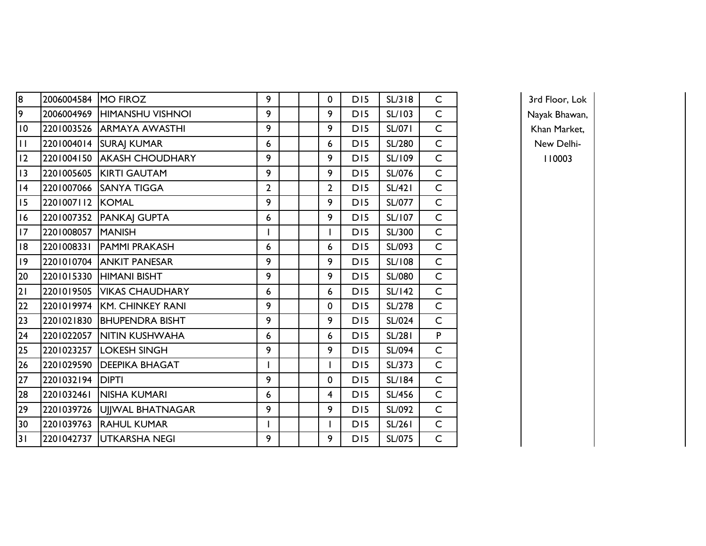| 8               | 2006004584 | <b>MO FIROZ</b>             | 9              |  | 0              | D <sub>15</sub> | SL/318        | $\mathsf C$  |
|-----------------|------------|-----------------------------|----------------|--|----------------|-----------------|---------------|--------------|
| $\overline{9}$  | 2006004969 | <b>HIMANSHU VISHNOI</b>     | 9              |  | 9              | D15             | SL/103        | $\mathsf{C}$ |
| 10              | 2201003526 | <b>ARMAYA AWASTHI</b>       | 9              |  | 9              | D15             | <b>SL/071</b> | $\mathsf{C}$ |
| $\overline{11}$ |            | 2201004014 SURAJ KUMAR      | 6              |  | 6              | D15             | SL/280        | $\mathsf{C}$ |
| 12              | 2201004150 | <b>AKASH CHOUDHARY</b>      | 9              |  | 9              | D15             | SL/109        | $\mathsf{C}$ |
| 3               | 2201005605 | <b>KIRTI GAUTAM</b>         | 9              |  | 9              | D15             | SL/076        | $\mathsf C$  |
| 4               | 2201007066 | <b>SANYA TIGGA</b>          | $\overline{2}$ |  | $\overline{2}$ | D15             | <b>SL/421</b> | $\mathsf{C}$ |
| 15              | 2201007112 | KOMAL                       | 9              |  | 9              | D15             | SL/077        | $\mathsf C$  |
| 16              | 2201007352 | <b>PANKAJ GUPTA</b>         | 6              |  | 9              | DI5             | SL/107        | $\mathsf C$  |
| 17              | 2201008057 | <b>MANISH</b>               | I              |  | I              | D15             | SL/300        | $\mathsf{C}$ |
| 18              | 2201008331 | <b>PAMMI PRAKASH</b>        | 6              |  | 6              | D15             | SL/093        | $\mathsf C$  |
| 9               | 2201010704 | <b>ANKIT PANESAR</b>        | 9              |  | 9              | D15             | <b>SL/108</b> | $\mathsf C$  |
| 20              | 2201015330 | <b>HIMANI BISHT</b>         | 9              |  | 9              | D15             | SL/080        | $\mathsf C$  |
| $\overline{21}$ | 2201019505 | <b>VIKAS CHAUDHARY</b>      | 6              |  | 6              | D15             | <b>SL/142</b> | $\mathsf C$  |
| $\overline{22}$ |            | 2201019974 KM. CHINKEY RANI | 9              |  | 0              | D15             | <b>SL/278</b> | $\mathsf{C}$ |
| $\overline{23}$ | 2201021830 | <b>BHUPENDRA BISHT</b>      | 9              |  | 9              | D15             | SL/024        | $\mathsf{C}$ |
| 24              | 2201022057 | <b>NITIN KUSHWAHA</b>       | 6              |  | 6              | D15             | <b>SL/281</b> | P            |
| 25              | 2201023257 | <b>LOKESH SINGH</b>         | 9              |  | 9              | D15             | SL/094        | $\mathsf{C}$ |
| 26              | 2201029590 | <b>DEEPIKA BHAGAT</b>       |                |  | I              | D15             | SL/373        | $\mathsf C$  |
| 27              | 2201032194 | <b>DIPTI</b>                | 9              |  | 0              | D15             | <b>SL/184</b> | $\mathsf C$  |
| 28              | 2201032461 | NISHA KUMARI                | 6              |  | 4              | D15             | SL/456        | $\mathsf C$  |
| 29              | 2201039726 | UJJWAL BHATNAGAR            | 9              |  | 9              | D15             | SL/092        | $\mathsf C$  |
| 30              | 2201039763 | <b>RAHUL KUMAR</b>          |                |  | I              | DI5             | SL/261        | $\mathsf C$  |
| 31              | 2201042737 | UTKARSHA NEGI               | 9              |  | 9              | D15             | SL/075        | $\mathsf C$  |

3rd Floor, Lok Nayak Bhawan, Khan Market, New Delhi-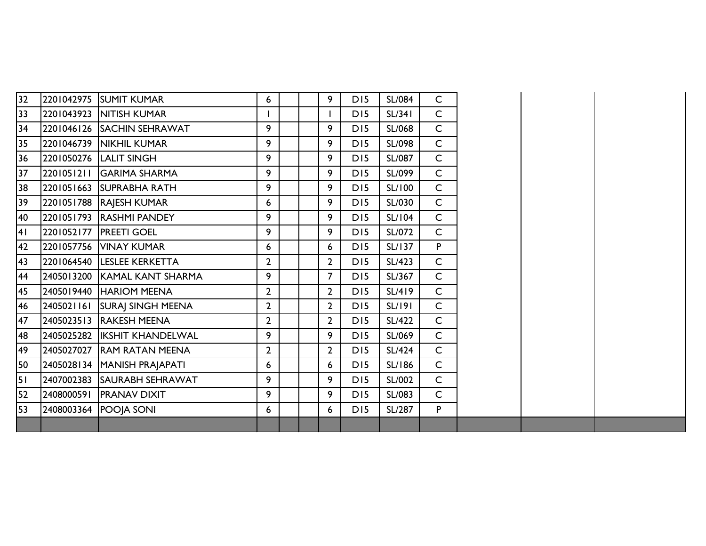| 32 | 2201042975 SUMIT KUMAR        | 6              |  | 9              | D <sub>15</sub> | <b>SL/084</b> | $\mathsf{C}$ |
|----|-------------------------------|----------------|--|----------------|-----------------|---------------|--------------|
| 33 | 2201043923  NITISH KUMAR      |                |  | I              | D <sub>15</sub> | SL/341        | $\mathsf{C}$ |
| 34 | 2201046126 SACHIN SEHRAWAT    | 9              |  | 9              | D <sub>15</sub> | SL/068        | $\mathsf{C}$ |
|    |                               | 9              |  | 9              | D <sub>15</sub> | SL/098        | $\mathsf{C}$ |
| 35 | 2201046739   NIKHIL KUMAR     |                |  |                |                 |               |              |
| 36 | 2201050276 LALIT SINGH        | 9              |  | 9              | D <sub>15</sub> | <b>SL/087</b> | $\mathsf{C}$ |
| 37 | 2201051211 GARIMA SHARMA      | 9              |  | 9              | D15             | SL/099        | $\mathsf{C}$ |
| 38 | 2201051663 SUPRABHA RATH      | 9              |  | 9              | D <sub>15</sub> | SL/100        | $\mathsf{C}$ |
| 39 | 2201051788 RAJESH KUMAR       | 6              |  | 9              | D15             | SL/030        | $\mathsf{C}$ |
| 40 | 2201051793 RASHMI PANDEY      | 9              |  | 9              | D15             | <b>SL/104</b> | $\mathsf{C}$ |
| 41 | 2201052177   PREETI GOEL      | 9              |  | 9              | D15             | SL/072        | $\mathsf{C}$ |
| 42 | 2201057756 VINAY KUMAR        | 6              |  | 6              | D <sub>15</sub> | SL/137        | P            |
| 43 | 2201064540 LESLEE KERKETTA    | $\overline{2}$ |  | $\overline{2}$ | D <sub>15</sub> | SL/423        | $\mathsf{C}$ |
| 44 | 2405013200 KAMAL KANT SHARMA  | 9              |  | $\overline{7}$ | D <sub>15</sub> | SL/367        | $\mathsf{C}$ |
| 45 | 2405019440 HARIOM MEENA       | $\overline{2}$ |  | $\mathbf{2}$   | D <sub>15</sub> | SL/419        | $\mathsf C$  |
| 46 | 2405021161 SURAJ SINGH MEENA  | $\mathbf{2}$   |  | $\overline{2}$ | D <sub>15</sub> | SL/191        | $\mathsf{C}$ |
| 47 | 2405023513 RAKESH MEENA       | $\overline{2}$ |  | $\overline{2}$ | D <sub>15</sub> | SL/422        | $\mathsf{C}$ |
| 48 | 2405025282 IKSHIT KHANDELWAL  | 9              |  | 9              | D <sub>15</sub> | SL/069        | $\mathsf{C}$ |
| 49 | 2405027027 RAM RATAN MEENA    | $\overline{2}$ |  | $\overline{2}$ | D15             | SL/424        | $\mathsf{C}$ |
| 50 | 2405028134   MANISH PRAJAPATI | 6              |  | 6              | D <sub>15</sub> | <b>SL/186</b> | $\mathsf{C}$ |
| 51 | 2407002383 SAURABH SEHRAWAT   | 9              |  | 9              | D <sub>15</sub> | SL/002        | $\mathsf{C}$ |
| 52 | 2408000591 PRANAV DIXIT       | 9              |  | 9              | D <sub>15</sub> | SL/083        | $\mathsf{C}$ |
| 53 | 2408003364 POOJA SONI         | 6              |  | 6              | D <sub>15</sub> | SL/287        | P.           |
|    |                               |                |  |                |                 |               |              |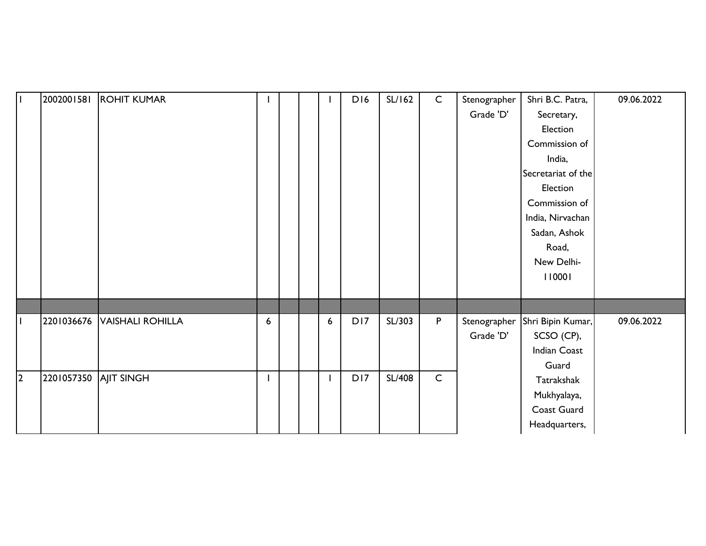| l L          | 2002001581 | <b>ROHIT KUMAR</b>      |   |  |   | D16             | SL/162        | $\mathsf{C}$ | Stenographer | Shri B.C. Patra,   | 09.06.2022 |
|--------------|------------|-------------------------|---|--|---|-----------------|---------------|--------------|--------------|--------------------|------------|
|              |            |                         |   |  |   |                 |               |              | Grade 'D'    | Secretary,         |            |
|              |            |                         |   |  |   |                 |               |              |              | Election           |            |
|              |            |                         |   |  |   |                 |               |              |              | Commission of      |            |
|              |            |                         |   |  |   |                 |               |              |              | India,             |            |
|              |            |                         |   |  |   |                 |               |              |              | Secretariat of the |            |
|              |            |                         |   |  |   |                 |               |              |              | Election           |            |
|              |            |                         |   |  |   |                 |               |              |              | Commission of      |            |
|              |            |                         |   |  |   |                 |               |              |              | India, Nirvachan   |            |
|              |            |                         |   |  |   |                 |               |              |              | Sadan, Ashok       |            |
|              |            |                         |   |  |   |                 |               |              |              | Road,              |            |
|              |            |                         |   |  |   |                 |               |              |              | New Delhi-         |            |
|              |            |                         |   |  |   |                 |               |              |              | 110001             |            |
|              |            |                         |   |  |   |                 |               |              |              |                    |            |
|              |            |                         |   |  |   |                 |               |              |              |                    |            |
| $\mathbf{I}$ | 2201036676 | <b>VAISHALI ROHILLA</b> | 6 |  | 6 | D17             | SL/303        | P            | Stenographer | Shri Bipin Kumar,  | 09.06.2022 |
|              |            |                         |   |  |   |                 |               |              | Grade 'D'    | SCSO (CP),         |            |
|              |            |                         |   |  |   |                 |               |              |              | Indian Coast       |            |
|              |            |                         |   |  |   |                 |               |              |              | Guard              |            |
| $\vert$ 2    | 2201057350 | <b>AJIT SINGH</b>       |   |  |   | D <sub>17</sub> | <b>SL/408</b> | $\mathsf C$  |              | Tatrakshak         |            |
|              |            |                         |   |  |   |                 |               |              |              | Mukhyalaya,        |            |
|              |            |                         |   |  |   |                 |               |              |              | Coast Guard        |            |
|              |            |                         |   |  |   |                 |               |              |              | Headquarters,      |            |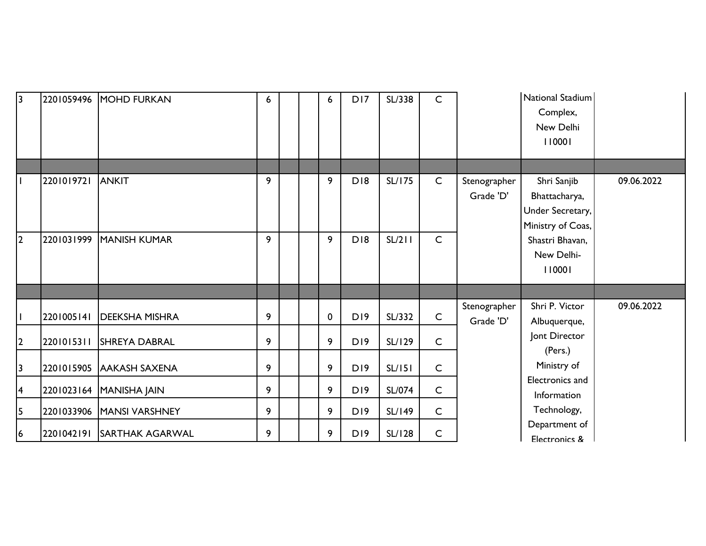| $\overline{3}$ | 2201059496 | MOHD FURKAN            | 6 |  | 6           | D17             | SL/338        | C            |                           | National Stadium<br>Complex,<br>New Delhi<br>110001                   |            |
|----------------|------------|------------------------|---|--|-------------|-----------------|---------------|--------------|---------------------------|-----------------------------------------------------------------------|------------|
|                |            |                        |   |  |             |                 |               |              |                           |                                                                       |            |
|                | 2201019721 | ANKIT                  | 9 |  | 9           | D <sub>18</sub> | <b>SL/175</b> | $\mathsf{C}$ | Stenographer<br>Grade 'D' | Shri Sanjib<br>Bhattacharya,<br>Under Secretary,<br>Ministry of Coas, | 09.06.2022 |
| $\overline{2}$ | 2201031999 | <b>MANISH KUMAR</b>    | 9 |  | 9           | D <sub>18</sub> | SL/211        | $\mathsf{C}$ |                           | Shastri Bhavan,<br>New Delhi-<br>110001                               |            |
|                |            |                        |   |  |             |                 |               |              | Stenographer              | Shri P. Victor                                                        | 09.06.2022 |
|                | 2201005141 | <b>DEEKSHA MISHRA</b>  | 9 |  | $\mathbf 0$ | D19             | SL/332        | $\mathsf{C}$ | Grade 'D'                 | Albuquerque,                                                          |            |
| $\mathbf{2}$   | 2201015311 | <b>SHREYA DABRAL</b>   | 9 |  | 9           | <b>D19</b>      | SL/129        | $\mathsf{C}$ |                           | Jont Director<br>(Pers.)                                              |            |
| 3              | 2201015905 | <b>AAKASH SAXENA</b>   | 9 |  | 9           | D <sub>19</sub> | SL/151        | $\mathsf C$  |                           | Ministry of                                                           |            |
| 4              | 2201023164 | MANISHA JAIN           | 9 |  | 9           | D19             | SL/074        | $\mathsf C$  |                           | Electronics and<br>Information                                        |            |
| 5              | 2201033906 | <b>MANSI VARSHNEY</b>  | 9 |  | 9           | D19             | SL/149        | $\mathsf C$  |                           | Technology,                                                           |            |
| 6              | 2201042191 | <b>SARTHAK AGARWAL</b> | 9 |  | 9           | D19             | <b>SL/128</b> | $\mathsf{C}$ |                           | Department of<br>Electronics &                                        |            |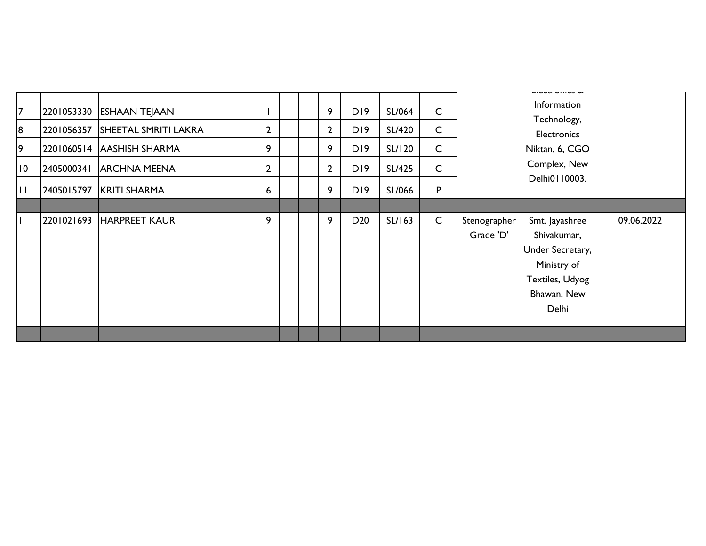| 18<br>19<br>10 | 2201053330 ESHAAN TEJAAN<br>2201056357 SHEETAL SMRITI LAKRA<br>2201060514 AASHISH SHARMA<br>2405000341 ARCHNA MEENA | $\overline{2}$<br>9<br>$\overline{2}$ |  | 9<br>$2^{\circ}$<br>9<br>$2^{\circ}$ | D <sub>19</sub><br>D19<br>D <sub>19</sub><br>D19 | SL/064<br><b>SL/420</b><br>SL/120<br><b>SL/425</b> | $\mathsf{C}$<br>$\mathsf{C}$<br>$\mathsf{C}$<br>$\mathsf{C}$ |                           | Information<br>Technology,<br><b>Electronics</b><br>Niktan, 6, CGO<br>Complex, New                          |            |
|----------------|---------------------------------------------------------------------------------------------------------------------|---------------------------------------|--|--------------------------------------|--------------------------------------------------|----------------------------------------------------|--------------------------------------------------------------|---------------------------|-------------------------------------------------------------------------------------------------------------|------------|
| $\mathbf{I}$   | 2405015797 KRITI SHARMA                                                                                             | $6\phantom{1}$                        |  | 9                                    | D19                                              | SL/066                                             | ${\sf P}$                                                    |                           | Delhi0110003.                                                                                               |            |
|                | 2201021693 HARPREET KAUR                                                                                            | 9                                     |  | 9                                    | D <sub>20</sub>                                  | SL/163                                             | $\mathsf C$                                                  | Stenographer<br>Grade 'D' | Smt. Jayashree<br>Shivakumar,<br>Under Secretary,<br>Ministry of<br>Textiles, Udyog<br>Bhawan, New<br>Delhi | 09.06.2022 |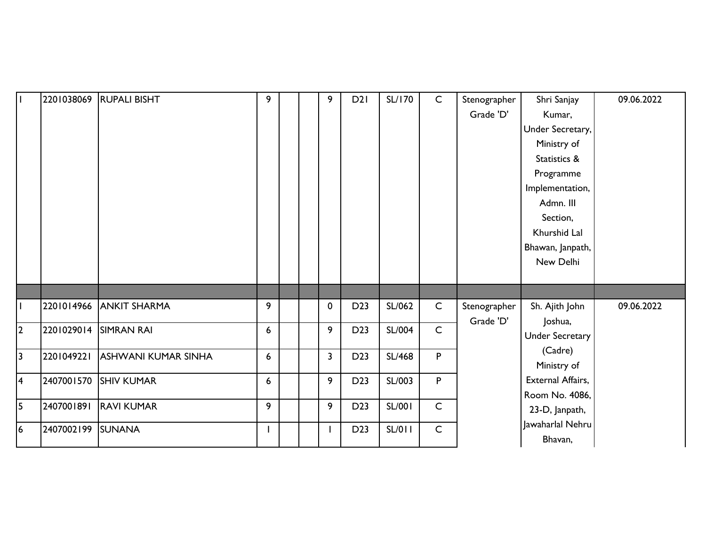| $\mathbf{I}$   | 2201038069 | <b>RUPALI BISHT</b> | 9                |  | 9            | D2I             | <b>SL/170</b> | $\mathsf{C}$ | Stenographer | Shri Sanjay                 | 09.06.2022 |
|----------------|------------|---------------------|------------------|--|--------------|-----------------|---------------|--------------|--------------|-----------------------------|------------|
|                |            |                     |                  |  |              |                 |               |              | Grade 'D'    | Kumar,                      |            |
|                |            |                     |                  |  |              |                 |               |              |              | Under Secretary,            |            |
|                |            |                     |                  |  |              |                 |               |              |              | Ministry of                 |            |
|                |            |                     |                  |  |              |                 |               |              |              | Statistics &                |            |
|                |            |                     |                  |  |              |                 |               |              |              | Programme                   |            |
|                |            |                     |                  |  |              |                 |               |              |              | Implementation,             |            |
|                |            |                     |                  |  |              |                 |               |              |              | Admn. III                   |            |
|                |            |                     |                  |  |              |                 |               |              |              | Section,                    |            |
|                |            |                     |                  |  |              |                 |               |              |              | Khurshid Lal                |            |
|                |            |                     |                  |  |              |                 |               |              |              | Bhawan, Janpath,            |            |
|                |            |                     |                  |  |              |                 |               |              |              | New Delhi                   |            |
|                |            |                     |                  |  |              |                 |               |              |              |                             |            |
|                |            |                     |                  |  |              |                 |               |              |              |                             |            |
|                | 2201014966 | <b>ANKIT SHARMA</b> | 9                |  | $\mathbf 0$  | D <sub>23</sub> | SL/062        | $\mathsf{C}$ | Stenographer | Sh. Ajith John              | 09.06.2022 |
| 2              | 2201029014 | <b>SIMRAN RAI</b>   | $\boldsymbol{6}$ |  | 9            | D <sub>23</sub> | <b>SL/004</b> | $\mathsf{C}$ | Grade 'D'    | Joshua,                     |            |
|                |            |                     |                  |  |              |                 |               |              |              | Under Secretary             |            |
| $\overline{3}$ | 2201049221 | ASHWANI KUMAR SINHA | $\boldsymbol{6}$ |  | $\mathbf{3}$ | D <sub>23</sub> | <b>SL/468</b> | P            |              | (Cadre)                     |            |
|                |            |                     |                  |  |              |                 |               |              |              | Ministry of                 |            |
| 4              | 2407001570 | <b>SHIV KUMAR</b>   | 6                |  | 9            | D <sub>23</sub> | SL/003        | P            |              | External Affairs,           |            |
| $\overline{5}$ | 2407001891 | <b>RAVI KUMAR</b>   | 9                |  | 9            | D <sub>23</sub> | <b>SL/001</b> | $\mathsf{C}$ |              | Room No. 4086,              |            |
|                |            |                     |                  |  |              |                 |               |              |              | 23-D, Janpath,              |            |
| 6              | 2407002199 | <b>SUNANA</b>       |                  |  |              | D <sub>23</sub> | <b>SL/011</b> | $\mathsf{C}$ |              | Jawaharlal Nehru<br>Bhavan, |            |
|                |            |                     |                  |  |              |                 |               |              |              |                             |            |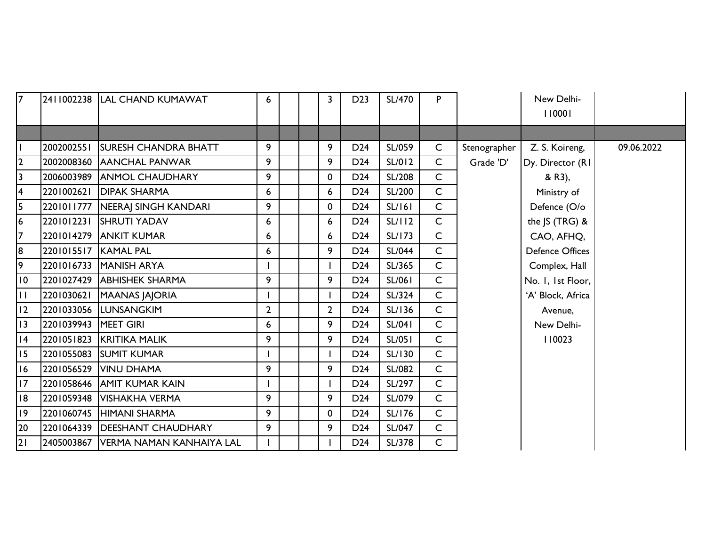| $\overline{7}$  |                      | 2411002238 LAL CHAND KUMAWAT        | 6              |  | $\mathbf{3}$   | D <sub>23</sub> | <b>SL/470</b> | P.           |              | New Delhi-<br>110001   |            |
|-----------------|----------------------|-------------------------------------|----------------|--|----------------|-----------------|---------------|--------------|--------------|------------------------|------------|
|                 |                      |                                     |                |  |                |                 |               |              |              |                        |            |
|                 | 2002002551           | <b>ISURESH CHANDRA BHATT</b>        | 9              |  | 9              | D <sub>24</sub> | SL/059        | $\mathsf{C}$ | Stenographer | Z. S. Koireng,         | 09.06.2022 |
| 2               | 2002008360           | <b>AANCHAL PANWAR</b>               | 9              |  | 9              | D <sub>24</sub> | SL/012        | $\mathsf{C}$ | Grade 'D'    | Dy. Director (RI)      |            |
| 3               |                      | 2006003989 ANMOL CHAUDHARY          | 9              |  | 0              | D <sub>24</sub> | <b>SL/208</b> | $\mathsf{C}$ |              | & R3),                 |            |
| 4               | 2201002621           | <b>DIPAK SHARMA</b>                 | 6              |  | 6              | D <sub>24</sub> | SL/200        | $\mathsf{C}$ |              | Ministry of            |            |
| 5               |                      | 2201011777   NEERAI SINGH KANDARI   | 9              |  | 0              | D <sub>24</sub> | SL/161        | $\mathsf{C}$ |              | Defence (O/o           |            |
| 6               |                      | 2201012231 SHRUTI YADAV             | 6              |  | 6              | D <sub>24</sub> | SL/112        | $\mathsf{C}$ |              | the JS (TRG) &         |            |
| $\overline{7}$  |                      | 2201014279 ANKIT KUMAR              | 6              |  | 6              | D <sub>24</sub> | <b>SL/173</b> | $\mathsf{C}$ |              | CAO, AFHQ,             |            |
| 8               | 2201015517 KAMAL PAL |                                     | 6              |  | 9              | D <sub>24</sub> | <b>SL/044</b> | $\mathsf{C}$ |              | <b>Defence Offices</b> |            |
| 9               |                      | 2201016733 MANISH ARYA              |                |  |                | D <sub>24</sub> | SL/365        | $\mathsf{C}$ |              | Complex, Hall          |            |
| $\overline{10}$ |                      | 2201027429 ABHISHEK SHARMA          | 9              |  | 9              | D <sub>24</sub> | SL/061        | $\mathsf{C}$ |              | No. I, Ist Floor,      |            |
| $\mathbf{H}$    | 2201030621           | <b>MAANAS JAJORIA</b>               |                |  |                | D <sub>24</sub> | SL/324        | $\mathsf{C}$ |              | 'A' Block, Africa      |            |
| 12              |                      | 2201033056 LUNSANGKIM               | $\overline{2}$ |  | $\overline{2}$ | D <sub>24</sub> | SL/136        | $\mathsf{C}$ |              | Avenue,                |            |
| 13              | 2201039943 MEET GIRI |                                     | 6              |  | 9              | D <sub>24</sub> | <b>SL/041</b> | $\mathsf{C}$ |              | New Delhi-             |            |
| 4               |                      | 2201051823 KRITIKA MALIK            | 9              |  | 9              | D <sub>24</sub> | <b>SL/051</b> | $\mathsf{C}$ |              | 110023                 |            |
| 15              |                      | 2201055083 SUMIT KUMAR              |                |  |                | D <sub>24</sub> | <b>SL/130</b> | $\mathsf{C}$ |              |                        |            |
| 16              |                      | 2201056529 VINU DHAMA               | 9              |  | 9              | D <sub>24</sub> | SL/082        | $\mathsf{C}$ |              |                        |            |
| 17              |                      | 2201058646 AMIT KUMAR KAIN          |                |  |                | D <sub>24</sub> | SL/297        | $\mathsf{C}$ |              |                        |            |
| 18              |                      | 2201059348   VISHAKHA VERMA         | 9              |  | 9              | D <sub>24</sub> | SL/079        | $\mathsf{C}$ |              |                        |            |
| 9               |                      | 2201060745 HIMANI SHARMA            | 9              |  | 0              | D <sub>24</sub> | <b>SL/176</b> | $\mathsf{C}$ |              |                        |            |
| 20              |                      | 2201064339   DEESHANT CHAUDHARY     | 9              |  | 9              | D <sub>24</sub> | <b>SL/047</b> | $\mathsf{C}$ |              |                        |            |
| 21              |                      | 2405003867 VERMA NAMAN KANHAIYA LAL |                |  |                | D <sub>24</sub> | SL/378        | $\mathsf{C}$ |              |                        |            |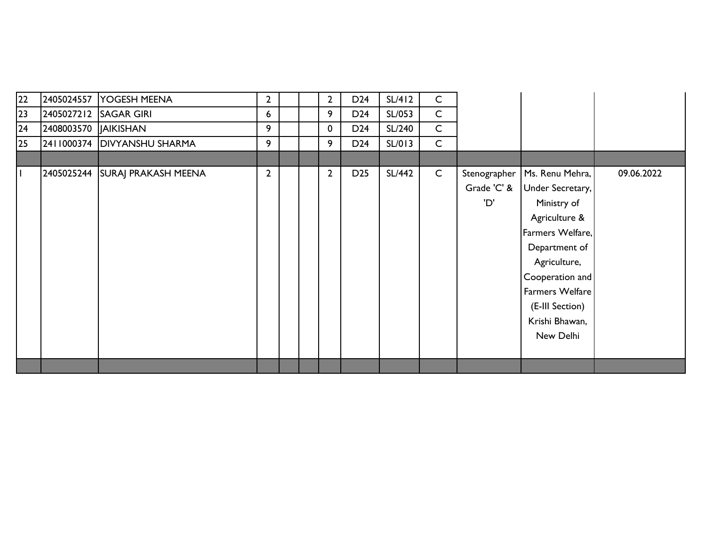| 22           |                       | 2405024557 YOGESH MEENA    | $\overline{2}$ |  | $\overline{2}$ | D <sub>24</sub> | SL/412 | $\mathsf{C}$ |              |                  |            |
|--------------|-----------------------|----------------------------|----------------|--|----------------|-----------------|--------|--------------|--------------|------------------|------------|
| 23           |                       | 2405027212 SAGAR GIRI      | 6              |  | 9              | D <sub>24</sub> | SL/053 | $\mathsf{C}$ |              |                  |            |
| 24           | 2408003570  JAIKISHAN |                            | 9              |  | $\mathbf 0$    | D <sub>24</sub> | SL/240 | $\mathsf{C}$ |              |                  |            |
| 25           | 2411000374            | <b>DIVYANSHU SHARMA</b>    | 9              |  | 9              | D <sub>24</sub> | SL/013 | $\mathsf{C}$ |              |                  |            |
|              |                       |                            |                |  |                |                 |        |              |              |                  |            |
| $\mathbf{I}$ | 2405025244            | <b>SURAJ PRAKASH MEENA</b> | $\overline{2}$ |  | $\overline{2}$ | D <sub>25</sub> | SL/442 | $\mathsf{C}$ | Stenographer | Ms. Renu Mehra,  | 09.06.2022 |
|              |                       |                            |                |  |                |                 |        |              | Grade 'C' &  | Under Secretary, |            |
|              |                       |                            |                |  |                |                 |        |              | 'D'          | Ministry of      |            |
|              |                       |                            |                |  |                |                 |        |              |              | Agriculture &    |            |
|              |                       |                            |                |  |                |                 |        |              |              | Farmers Welfare, |            |
|              |                       |                            |                |  |                |                 |        |              |              | Department of    |            |
|              |                       |                            |                |  |                |                 |        |              |              | Agriculture,     |            |
|              |                       |                            |                |  |                |                 |        |              |              | Cooperation and  |            |
|              |                       |                            |                |  |                |                 |        |              |              | Farmers Welfare  |            |
|              |                       |                            |                |  |                |                 |        |              |              | (E-III Section)  |            |
|              |                       |                            |                |  |                |                 |        |              |              | Krishi Bhawan,   |            |
|              |                       |                            |                |  |                |                 |        |              |              | New Delhi        |            |
|              |                       |                            |                |  |                |                 |        |              |              |                  |            |
|              |                       |                            |                |  |                |                 |        |              |              |                  |            |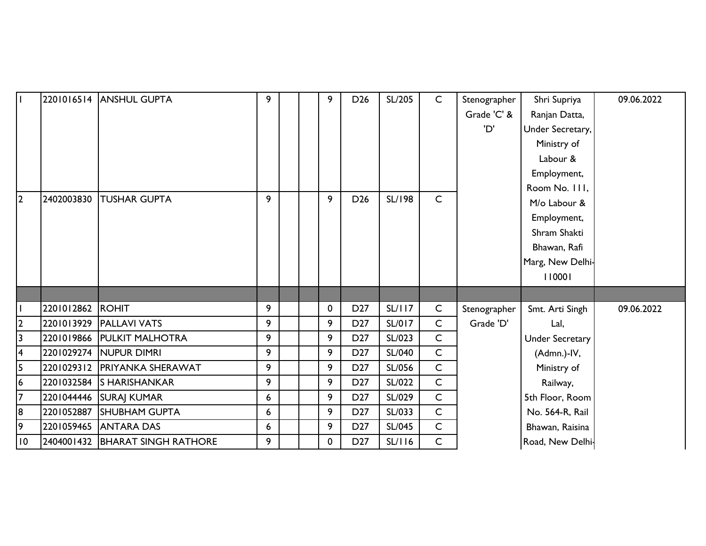| $\mathbf{I}$            |                  | 2201016514 ANSHUL GUPTA         | 9 |  | 9 | D <sub>26</sub> | SL/205        | $\mathsf{C}$ | Stenographer | Shri Supriya           | 09.06.2022 |
|-------------------------|------------------|---------------------------------|---|--|---|-----------------|---------------|--------------|--------------|------------------------|------------|
|                         |                  |                                 |   |  |   |                 |               |              | Grade 'C' &  | Ranjan Datta,          |            |
|                         |                  |                                 |   |  |   |                 |               |              | 'D'          | Under Secretary,       |            |
|                         |                  |                                 |   |  |   |                 |               |              |              | Ministry of            |            |
|                         |                  |                                 |   |  |   |                 |               |              |              | Labour &               |            |
|                         |                  |                                 |   |  |   |                 |               |              |              | Employment,            |            |
|                         |                  |                                 |   |  |   |                 |               |              |              | Room No. 111,          |            |
| 2                       | 2402003830       | <b>TUSHAR GUPTA</b>             | 9 |  | 9 | D <sub>26</sub> | <b>SL/198</b> | $\mathsf{C}$ |              | M/o Labour &           |            |
|                         |                  |                                 |   |  |   |                 |               |              |              | Employment,            |            |
|                         |                  |                                 |   |  |   |                 |               |              |              | Shram Shakti           |            |
|                         |                  |                                 |   |  |   |                 |               |              |              | Bhawan, Rafi           |            |
|                         |                  |                                 |   |  |   |                 |               |              |              | Marg, New Delhi-       |            |
|                         |                  |                                 |   |  |   |                 |               |              |              | 110001                 |            |
|                         |                  |                                 |   |  |   |                 |               |              |              |                        |            |
|                         | 2201012862 ROHIT |                                 | 9 |  | 0 | D <sub>27</sub> | SL/117        | $\mathsf{C}$ | Stenographer | Smt. Arti Singh        | 09.06.2022 |
| $\overline{2}$          | 2201013929       | <b>PALLAVI VATS</b>             | 9 |  | 9 | D <sub>27</sub> | SL/017        | $\mathsf{C}$ | Grade 'D'    | Lal,                   |            |
| $\overline{3}$          |                  | 2201019866 PULKIT MALHOTRA      | 9 |  | 9 | D <sub>27</sub> | SL/023        | $\mathsf{C}$ |              | <b>Under Secretary</b> |            |
| $\overline{\mathbf{4}}$ |                  | 2201029274 NUPUR DIMRI          | 9 |  | 9 | D <sub>27</sub> | SL/040        | $\mathsf{C}$ |              | (Admn.)-IV,            |            |
| $\overline{5}$          | 2201029312       | <b>PRIYANKA SHERAWAT</b>        | 9 |  | 9 | D <sub>27</sub> | SL/056        | $\mathsf C$  |              | Ministry of            |            |
| 6                       | 2201032584       | <b>SHARISHANKAR</b>             | 9 |  | 9 | D <sub>27</sub> | SL/022        | $\mathsf C$  |              | Railway,               |            |
| $\overline{7}$          | 2201044446       | <b>SURAJ KUMAR</b>              | 6 |  | 9 | D <sub>27</sub> | SL/029        | $\mathsf C$  |              | 5th Floor, Room        |            |
| 8                       | 2201052887       | <b>SHUBHAM GUPTA</b>            | 6 |  | 9 | D <sub>27</sub> | SL/033        | $\mathsf{C}$ |              | No. 564-R, Rail        |            |
| 9                       |                  | 2201059465 ANTARA DAS           | 6 |  | 9 | D <sub>27</sub> | SL/045        | $\mathsf{C}$ |              | Bhawan, Raisina        |            |
| $\overline{10}$         |                  | 2404001432 BHARAT SINGH RATHORE | 9 |  | 0 | D <sub>27</sub> | SL/116        | $\mathsf{C}$ |              | Road, New Delhi-       |            |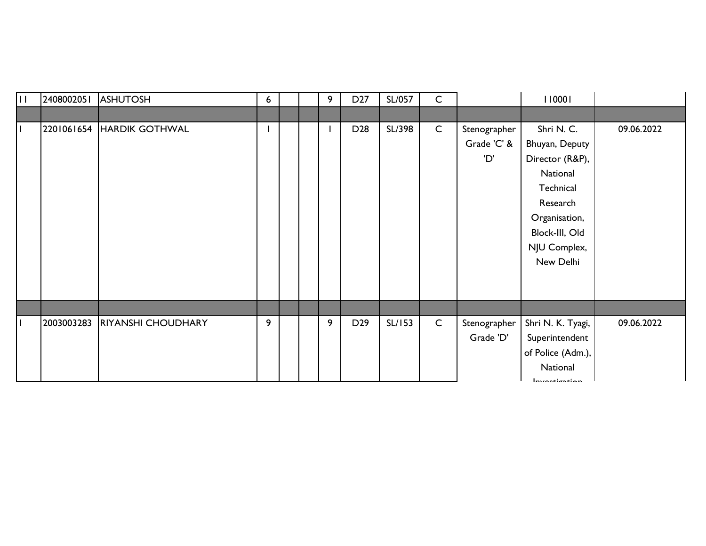| ĦГ | 2408002051 | <b>ASHUTOSH</b>           | 6                        |  | 9 | D <sub>27</sub> | SL/057 | $\mathsf{C}$ |              | 110001                |            |
|----|------------|---------------------------|--------------------------|--|---|-----------------|--------|--------------|--------------|-----------------------|------------|
|    |            |                           |                          |  |   |                 |        |              |              |                       |            |
|    |            | 2201061654 HARDIK GOTHWAL | $\overline{\phantom{a}}$ |  |   | D <sub>28</sub> | SL/398 | $\mathsf{C}$ | Stenographer | Shri N. C.            | 09.06.2022 |
|    |            |                           |                          |  |   |                 |        |              | Grade 'C' &  | Bhuyan, Deputy        |            |
|    |            |                           |                          |  |   |                 |        |              | 'D'          | Director (R&P),       |            |
|    |            |                           |                          |  |   |                 |        |              |              | National              |            |
|    |            |                           |                          |  |   |                 |        |              |              | Technical             |            |
|    |            |                           |                          |  |   |                 |        |              |              | Research              |            |
|    |            |                           |                          |  |   |                 |        |              |              | Organisation,         |            |
|    |            |                           |                          |  |   |                 |        |              |              | Block-III, Old        |            |
|    |            |                           |                          |  |   |                 |        |              |              | NJU Complex,          |            |
|    |            |                           |                          |  |   |                 |        |              |              | New Delhi             |            |
|    |            |                           |                          |  |   |                 |        |              |              |                       |            |
|    |            |                           |                          |  |   |                 |        |              |              |                       |            |
|    |            |                           |                          |  |   |                 |        |              |              |                       |            |
|    | 2003003283 | <b>RIYANSHI CHOUDHARY</b> | 9                        |  | 9 | D <sub>29</sub> | SL/153 | $\mathsf{C}$ | Stenographer | Shri N. K. Tyagi,     | 09.06.2022 |
|    |            |                           |                          |  |   |                 |        |              | Grade 'D'    | Superintendent        |            |
|    |            |                           |                          |  |   |                 |        |              |              | of Police (Adm.),     |            |
|    |            |                           |                          |  |   |                 |        |              |              | National              |            |
|    |            |                           |                          |  |   |                 |        |              |              | In fact that it is a. |            |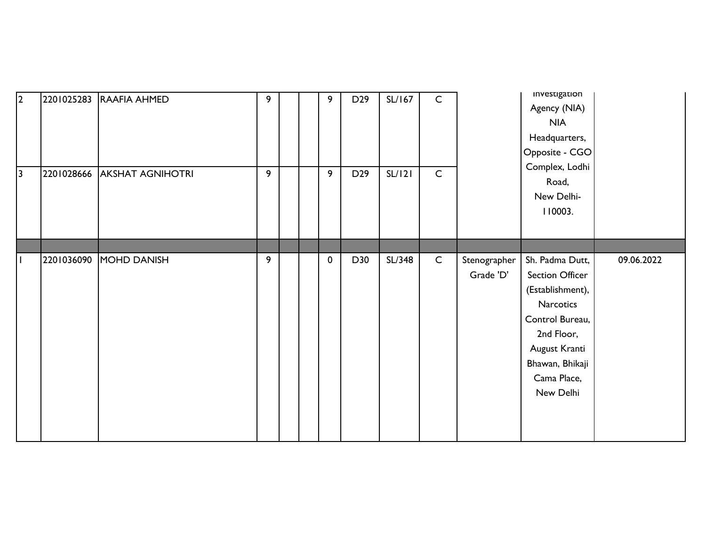| $\vert$ 2<br>$\overline{\mathbf{3}}$ | 2201028666 | 2201025283 RAAFIA AHMED<br><b>AKSHAT AGNIHOTRI</b> | 9<br>9 |  | 9<br>9      | D <sub>29</sub><br>D <sub>29</sub> | SL/167<br>SL/121 | $\mathsf{C}$<br>$\mathsf C$ |                           | investigation<br>Agency (NIA)<br><b>NIA</b><br>Headquarters,<br>Opposite - CGO<br>Complex, Lodhi<br>Road,<br>New Delhi-<br>110003.                                   |            |
|--------------------------------------|------------|----------------------------------------------------|--------|--|-------------|------------------------------------|------------------|-----------------------------|---------------------------|----------------------------------------------------------------------------------------------------------------------------------------------------------------------|------------|
|                                      |            |                                                    |        |  |             |                                    |                  |                             |                           |                                                                                                                                                                      |            |
|                                      | 2201036090 | MOHD DANISH                                        | 9      |  | $\mathbf 0$ | D30                                | SL/348           | $\mathsf{C}$                | Stenographer<br>Grade 'D' | Sh. Padma Dutt,<br>Section Officer<br>(Establishment),<br>Narcotics<br>Control Bureau,<br>2nd Floor,<br>August Kranti<br>Bhawan, Bhikaji<br>Cama Place,<br>New Delhi | 09.06.2022 |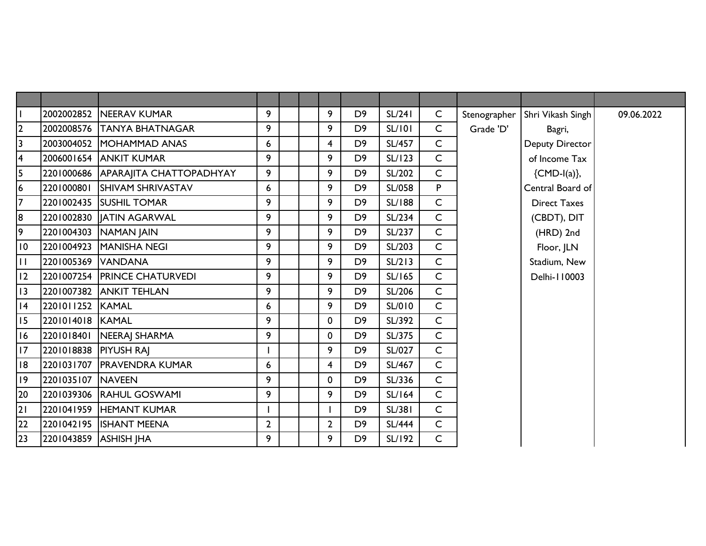|                 | 2002002852            | <b>INEERAV KUMAR</b>               | 9              |  | 9              | D <sub>9</sub> | SL/241        | $\mathsf{C}$ | Stenographer | Shri Vikash Singh   | 09.06.2022 |
|-----------------|-----------------------|------------------------------------|----------------|--|----------------|----------------|---------------|--------------|--------------|---------------------|------------|
| $\mathbf{2}$    |                       | 2002008576 TANYA BHATNAGAR         | 9              |  | 9              | D <sub>9</sub> | <b>SL/101</b> | $\mathsf{C}$ | Grade 'D'    | Bagri,              |            |
| 3               | 2003004052            | MOHAMMAD ANAS                      | 6              |  | 4              | D <sub>9</sub> | <b>SL/457</b> | $\mathsf{C}$ |              | Deputy Director     |            |
| $\overline{4}$  | 2006001654            | <b>JANKIT KUMAR</b>                | 9              |  | 9              | D <sub>9</sub> | SL/123        | $\mathsf{C}$ |              | of Income Tax       |            |
| 5               |                       | 2201000686 APARAIITA CHATTOPADHYAY | 9              |  | 9              | D <sub>9</sub> | SL/202        | $\mathsf{C}$ |              | ${CMD-I(a)},$       |            |
| $6\phantom{a}$  | 2201000801            | <b>SHIVAM SHRIVASTAV</b>           | 6              |  | 9              | D <sub>9</sub> | SL/058        | P            |              | Central Board of    |            |
| $\overline{7}$  |                       | 2201002435 SUSHIL TOMAR            | 9              |  | 9              | D <sub>9</sub> | <b>SL/188</b> | $\mathsf{C}$ |              | <b>Direct Taxes</b> |            |
| 8               | 2201002830            | <b>IATIN AGARWAL</b>               | 9              |  | 9              | D <sub>9</sub> | SL/234        | $\mathsf{C}$ |              | (CBDT), DIT         |            |
| 9               | 2201004303            | NAMAN JAIN                         | 9              |  | 9              | D <sub>9</sub> | SL/237        | $\mathsf{C}$ |              | (HRD) 2nd           |            |
| $\overline{10}$ | 2201004923            | MANISHA NEGI                       | 9              |  | 9              | D <sub>9</sub> | SL/203        | $\mathsf{C}$ |              | Floor, JLN          |            |
| $\mathbf{H}$    | 2201005369 VANDANA    |                                    | 9              |  | 9              | D <sub>9</sub> | SL/213        | $\mathsf{C}$ |              | Stadium, New        |            |
| 2               |                       | 2201007254 PRINCE CHATURVEDI       | 9              |  | 9              | D <sub>9</sub> | SL/165        | $\mathsf{C}$ |              | Delhi-110003        |            |
| 3               |                       | 2201007382 ANKIT TEHLAN            | 9              |  | 9              | D <sub>9</sub> | SL/206        | $\mathsf{C}$ |              |                     |            |
| 4               | 2201011252 KAMAL      |                                    | 6              |  | 9              | D <sub>9</sub> | SL/010        | $\mathsf{C}$ |              |                     |            |
| 15              | 2201014018 KAMAL      |                                    | 9              |  | $\mathbf 0$    | D <sub>9</sub> | SL/392        | $\mathsf{C}$ |              |                     |            |
| 16              | 2201018401            | NEERAJ SHARMA                      | 9              |  | $\mathbf 0$    | D <sub>9</sub> | SL/375        | $\mathsf{C}$ |              |                     |            |
| 17              | 2201018838 PIYUSH RAJ |                                    |                |  | 9              | D <sub>9</sub> | SL/027        | $\mathsf{C}$ |              |                     |            |
| 18              | 2201031707            | <b>PRAVENDRA KUMAR</b>             | 6              |  | $\overline{4}$ | D <sub>9</sub> | SL/467        | $\mathsf{C}$ |              |                     |            |
| 9               | 2201035107            | <b>NAVEEN</b>                      | 9              |  | $\mathbf 0$    | D <sub>9</sub> | SL/336        | $\mathsf{C}$ |              |                     |            |
| 20              |                       | 2201039306 RAHUL GOSWAMI           | 9              |  | 9              | D <sub>9</sub> | <b>SL/164</b> | $\mathsf{C}$ |              |                     |            |
| 21              |                       | 2201041959 HEMANT KUMAR            |                |  |                | D <sub>9</sub> | <b>SL/381</b> | $\mathsf{C}$ |              |                     |            |
| 22              |                       | 2201042195 ISHANT MEENA            | $\overline{2}$ |  | $\overline{2}$ | D <sub>9</sub> | <b>SL/444</b> | $\mathsf{C}$ |              |                     |            |
| 23              | 2201043859 ASHISH JHA |                                    | 9              |  | 9              | D <sub>9</sub> | SL/192        | $\mathsf{C}$ |              |                     |            |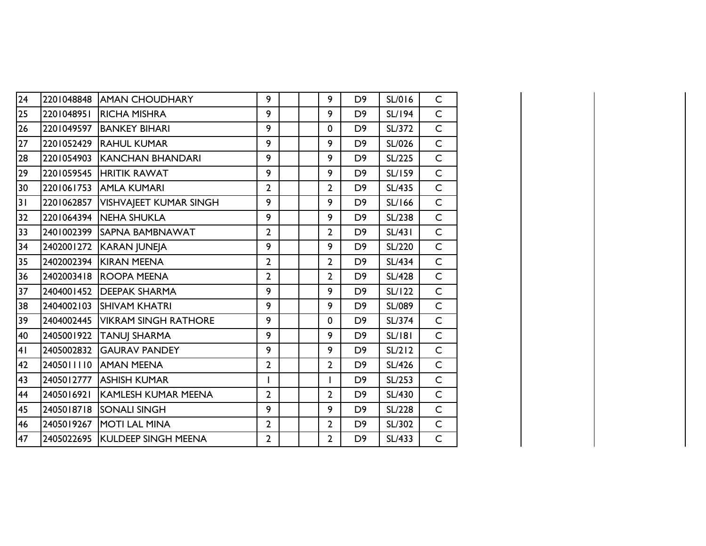| 24                                  | 2201048848 | <b>AMAN CHOUDHARY</b>           | 9              |  | 9              | D <sub>9</sub> | SL/016        | C            |
|-------------------------------------|------------|---------------------------------|----------------|--|----------------|----------------|---------------|--------------|
| 25                                  | 2201048951 | <b>RICHA MISHRA</b>             | 9              |  | 9              | D <sub>9</sub> | <b>SL/194</b> | $\mathsf{C}$ |
| 26                                  | 2201049597 | <b>BANKEY BIHARI</b>            | 9              |  | 0              | D <sub>9</sub> | SL/372        | $\mathsf C$  |
| $\overline{27}$                     | 2201052429 | <b>RAHUL KUMAR</b>              | 9              |  | 9              | D <sub>9</sub> | SL/026        | $\mathsf{C}$ |
| 28                                  | 2201054903 | <b>KANCHAN BHANDARI</b>         | 9              |  | 9              | D <sub>9</sub> | SL/225        | $\mathsf C$  |
| 29                                  | 2201059545 | <b>HRITIK RAWAT</b>             | 9              |  | 9              | D <sub>9</sub> | SL/159        | $\mathsf C$  |
| 30                                  | 2201061753 | <b>AMLA KUMARI</b>              | $\overline{2}$ |  | $\overline{2}$ | D <sub>9</sub> | <b>SL/435</b> | $\mathsf{C}$ |
| $\overline{\overline{\mathsf{31}}}$ | 2201062857 | VISHVAJEET KUMAR SINGH          | 9              |  | 9              | D <sub>9</sub> | SL/166        | $\mathsf C$  |
| 32                                  | 2201064394 | <b>INEHA SHUKLA</b>             | 9              |  | 9              | D <sub>9</sub> | SL/238        | $\mathsf{C}$ |
| 33                                  | 2401002399 | <b>SAPNA BAMBNAWAT</b>          | $\overline{2}$ |  | 2              | D <sub>9</sub> | <b>SL/431</b> | $\mathsf{C}$ |
| 34                                  | 2402001272 | KARAN JUNEJA                    | 9              |  | 9              | D <sub>9</sub> | SL/220        | $\mathsf C$  |
| 35                                  | 2402002394 | KIRAN MEENA                     | $\overline{2}$ |  | $\overline{2}$ | D <sub>9</sub> | <b>SL/434</b> | $\mathsf{C}$ |
| 36                                  | 2402003418 | <b>ROOPA MEENA</b>              | $\overline{2}$ |  | $\overline{2}$ | D <sub>9</sub> | <b>SL/428</b> | $\mathsf C$  |
| 37                                  | 2404001452 | <b>DEEPAK SHARMA</b>            | 9              |  | 9              | D <sub>9</sub> | <b>SL/122</b> | $\mathsf C$  |
| 38                                  | 2404002103 | <b>SHIVAM KHATRI</b>            | 9              |  | 9              | D <sub>9</sub> | SL/089        | $\mathsf{C}$ |
| 39                                  | 2404002445 | <b>VIKRAM SINGH RATHORE</b>     | 9              |  | 0              | D <sub>9</sub> | SL/374        | $\mathsf{C}$ |
| 40                                  | 2405001922 | <b>TANUJ SHARMA</b>             | 9              |  | 9              | D <sub>9</sub> | <b>SL/181</b> | $\mathsf{C}$ |
| 41                                  | 2405002832 | <b>GAURAV PANDEY</b>            | 9              |  | 9              | D <sub>9</sub> | SL/212        | $\mathsf{C}$ |
| 42                                  | 2405011110 | <b>AMAN MEENA</b>               | $\overline{2}$ |  | $\overline{2}$ | D <sub>9</sub> | SL/426        | $\mathsf{C}$ |
| 43                                  | 2405012777 | <b>ASHISH KUMAR</b>             | L              |  | I              | D <sub>9</sub> | SL/253        | $\mathsf C$  |
| 44                                  | 2405016921 | <b>KAMLESH KUMAR MEENA</b>      | $\overline{2}$ |  | $\overline{2}$ | D <sub>9</sub> | SL/430        | $\mathsf{C}$ |
| 45                                  | 2405018718 | <b>SONALI SINGH</b>             | 9              |  | 9              | D <sub>9</sub> | <b>SL/228</b> | $\mathsf C$  |
| 46                                  | 2405019267 | MOTI LAL MINA                   | $\overline{2}$ |  | $\overline{2}$ | D <sub>9</sub> | SL/302        | $\mathsf{C}$ |
| 47                                  |            | 2405022695  KULDEEP SINGH MEENA | $\overline{2}$ |  | $\overline{2}$ | D <sub>9</sub> | SL/433        | $\mathsf C$  |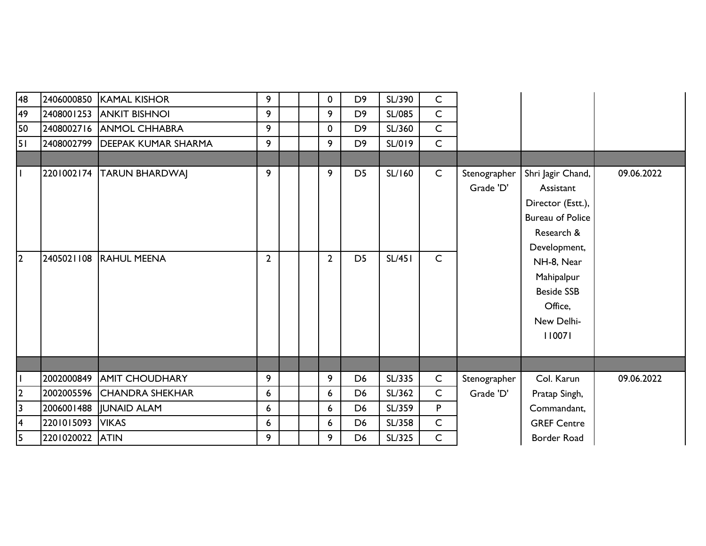| 48                      | 2406000850 | <b>KAMAL KISHOR</b>            | 9               |  | 0              | D <sub>9</sub> | SL/390        | $\mathsf C$  |                           |                                                                                                              |            |
|-------------------------|------------|--------------------------------|-----------------|--|----------------|----------------|---------------|--------------|---------------------------|--------------------------------------------------------------------------------------------------------------|------------|
| 49                      |            | 2408001253 ANKIT BISHNOI       | 9               |  | 9              | D <sub>9</sub> | <b>SL/085</b> | $\mathsf C$  |                           |                                                                                                              |            |
| 50                      |            | 2408002716 ANMOL CHHABRA       | 9               |  | 0              | D <sub>9</sub> | SL/360        | $\mathsf{C}$ |                           |                                                                                                              |            |
| 51                      |            | 2408002799 DEEPAK KUMAR SHARMA | 9               |  | 9              | D <sub>9</sub> | SL/019        | $\mathsf{C}$ |                           |                                                                                                              |            |
|                         |            |                                |                 |  |                |                |               |              |                           |                                                                                                              |            |
|                         |            | 2201002174  TARUN BHARDWAJ     | 9               |  | 9              | D <sub>5</sub> | SL/160        | $\mathsf{C}$ | Stenographer<br>Grade 'D' | Shri Jagir Chand,<br>Assistant<br>Director (Estt.),<br><b>Bureau of Police</b><br>Research &<br>Development, | 09.06.2022 |
| 12                      | 2405021108 | <b>RAHUL MEENA</b>             | $\overline{2}$  |  | $\overline{2}$ | D <sub>5</sub> | <b>SL/451</b> | $\mathsf{C}$ |                           | NH-8, Near<br>Mahipalpur<br><b>Beside SSB</b><br>Office,<br>New Delhi-<br>110071                             |            |
|                         |            |                                |                 |  |                |                |               |              |                           |                                                                                                              |            |
|                         | 2002000849 | <b>AMIT CHOUDHARY</b>          | 9               |  | 9              | D <sub>6</sub> | SL/335        | $\mathsf{C}$ | Stenographer              | Col. Karun                                                                                                   | 09.06.2022 |
| $\overline{2}$          |            | 2002005596 CHANDRA SHEKHAR     | $6\phantom{1}6$ |  | 6              | D <sub>6</sub> | SL/362        | $\mathsf{C}$ | Grade 'D'                 | Pratap Singh,                                                                                                |            |
| 3                       | 2006001488 | JUNAID ALAM                    | 6               |  | 6              | D <sub>6</sub> | SL/359        | P            |                           | Commandant,                                                                                                  |            |
| $\overline{\mathbf{4}}$ | 2201015093 | <b>VIKAS</b>                   | 6               |  | 6              | D <sub>6</sub> | SL/358        | $\mathsf C$  |                           | <b>GREF Centre</b>                                                                                           |            |
| 15.                     | 2201020022 | <b>ATIN</b>                    | 9               |  | 9              | D <sub>6</sub> | SL/325        | $\mathsf C$  |                           | Border Road                                                                                                  |            |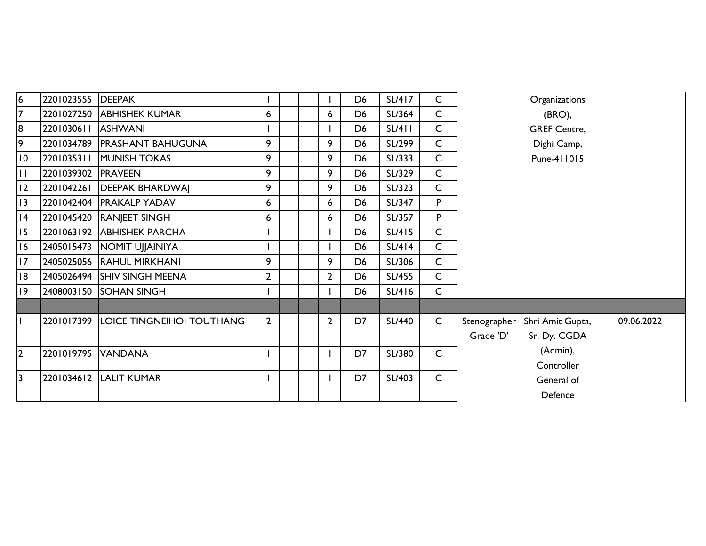| $\overline{6}$  | 2201023555 DEEPAK  |                                      |                |  |                | D <sub>6</sub> | SL/417        | $\mathsf{C}$ |              | Organizations       |            |
|-----------------|--------------------|--------------------------------------|----------------|--|----------------|----------------|---------------|--------------|--------------|---------------------|------------|
| 7               |                    | 2201027250 ABHISHEK KUMAR            | 6              |  | 6              | D <sub>6</sub> | SL/364        | $\mathsf{C}$ |              | $(BRO)$ ,           |            |
| $\overline{8}$  | 2201030611 ASHWANI |                                      |                |  |                | D <sub>6</sub> | SL/411        | $\mathsf{C}$ |              | <b>GREF Centre,</b> |            |
| 9               |                    | 2201034789   PRASHANT BAHUGUNA       | 9              |  | 9              | D <sub>6</sub> | SL/299        | $\mathsf{C}$ |              | Dighi Camp,         |            |
| $\overline{10}$ |                    | 2201035311 MUNISH TOKAS              | 9              |  | 9              | D <sub>6</sub> | SL/333        | $\mathsf{C}$ |              | Pune-411015         |            |
| Iт              | 2201039302 PRAVEEN |                                      | 9              |  | 9              | D <sub>6</sub> | SL/329        | $\mathsf{C}$ |              |                     |            |
| <sup>12</sup>   |                    | 2201042261   DEEPAK BHARDWAJ         | 9              |  | 9              | D <sub>6</sub> | SL/323        | $\mathsf{C}$ |              |                     |            |
| 13              |                    | 2201042404   PRAKALP YADAV           | 6              |  | 6              | D <sub>6</sub> | SL/347        | P            |              |                     |            |
| 14              |                    | 2201045420 RANJEET SINGH             | 6              |  | 6              | D <sub>6</sub> | SL/357        | P            |              |                     |            |
| 15              |                    | 2201063192 ABHISHEK PARCHA           |                |  |                | D <sub>6</sub> | SL/415        | $\mathsf{C}$ |              |                     |            |
| 16              |                    | 2405015473   NOMIT UJJAINIYA         |                |  |                | D <sub>6</sub> | SL/414        | $\mathsf{C}$ |              |                     |            |
| <b>II7</b>      |                    | 2405025056 RAHUL MIRKHANI            | 9              |  | 9              | D <sub>6</sub> | SL/306        | $\mathsf{C}$ |              |                     |            |
| <b>18</b>       |                    | 2405026494 SHIV SINGH MEENA          | $\overline{2}$ |  | $\overline{2}$ | D <sub>6</sub> | SL/455        | $\mathsf{C}$ |              |                     |            |
| 19              |                    | 2408003150 SOHAN SINGH               |                |  |                | D <sub>6</sub> | SL/416        | $\mathsf{C}$ |              |                     |            |
|                 |                    |                                      |                |  |                |                |               |              |              |                     |            |
| l I             |                    | 2201017399 LOICE TINGNEIHOI TOUTHANG | $\overline{2}$ |  | $\overline{2}$ | D7             | <b>SL/440</b> | $\mathsf{C}$ | Stenographer | Shri Amit Gupta,    | 09.06.2022 |
|                 |                    |                                      |                |  |                |                |               |              | Grade 'D'    | Sr. Dy. CGDA        |            |
| $\overline{2}$  | 2201019795 VANDANA |                                      |                |  |                | D7             | SL/380        | $\mathsf{C}$ |              | (Admin),            |            |
|                 |                    |                                      |                |  |                |                |               |              |              | Controller          |            |
| $\overline{3}$  |                    | 2201034612 LALIT KUMAR               |                |  |                | D7             | SL/403        | $\mathsf{C}$ |              | General of          |            |
|                 |                    |                                      |                |  |                |                |               |              |              | Defence             |            |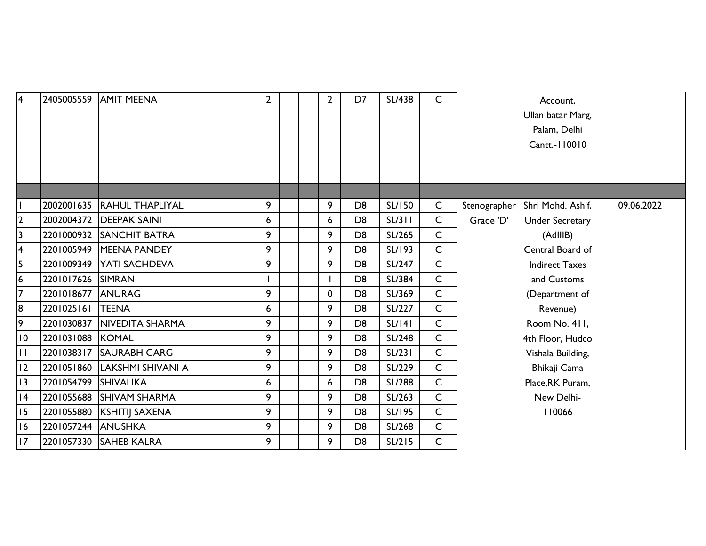| $\overline{4}$  |                      | 2405005559 AMIT MEENA        | $\overline{2}$ |  | $\overline{2}$ | D7             | <b>SL/438</b> | $\mathsf{C}$ |                           | Account,<br>Ullan batar Marg,<br>Palam, Delhi<br>Cantt.-110010 |            |
|-----------------|----------------------|------------------------------|----------------|--|----------------|----------------|---------------|--------------|---------------------------|----------------------------------------------------------------|------------|
|                 |                      | 2002001635 RAHUL THAPLIYAL   | 9              |  | 9              | D <sub>8</sub> | <b>SL/150</b> | $\mathsf{C}$ |                           |                                                                |            |
| 2               |                      | 2002004372   DEEPAK SAINI    | 6              |  | 6              | D <sub>8</sub> | SL/311        | $\mathsf{C}$ | Stenographer<br>Grade 'D' | Shri Mohd. Ashif,<br><b>Under Secretary</b>                    | 09.06.2022 |
| 3               |                      | 2201000932 SANCHIT BATRA     | 9              |  | 9              | D <sub>8</sub> | SL/265        | $\mathsf{C}$ |                           | (AdIIIB)                                                       |            |
| 4               |                      | 2201005949 MEENA PANDEY      | 9              |  | 9              | D <sub>8</sub> | SL/193        | $\mathsf{C}$ |                           | Central Board of                                               |            |
| 5               |                      | 2201009349 YATI SACHDEVA     | 9              |  | 9              | D <sub>8</sub> | SL/247        | $\mathsf{C}$ |                           | <b>Indirect Taxes</b>                                          |            |
| 6               | 2201017626 SIMRAN    |                              |                |  |                | D <sub>8</sub> | SL/384        | $\mathsf{C}$ |                           | and Customs                                                    |            |
| 7               | 2201018677 ANURAG    |                              | 9              |  | 0              | D <sub>8</sub> | SL/369        | $\mathsf{C}$ |                           | (Department of                                                 |            |
| 8               | 2201025161           | <b>TEENA</b>                 | 6              |  | 9              | D <sub>8</sub> | SL/227        | $\mathsf{C}$ |                           | Revenue)                                                       |            |
| 9               |                      | 2201030837   NIVEDITA SHARMA | 9              |  | 9              | D <sub>8</sub> | SL/141        | $\mathsf{C}$ |                           | Room No. 411,                                                  |            |
| $\overline{10}$ | 2201031088 KOMAL     |                              | 9              |  | 9              | D <sub>8</sub> | SL/248        | C            |                           | 4th Floor, Hudco                                               |            |
| П               |                      | 2201038317 SAURABH GARG      | 9              |  | 9              | D <sub>8</sub> | SL/231        | $\mathsf{C}$ |                           | Vishala Building,                                              |            |
| 12              |                      | 2201051860 LAKSHMI SHIVANI A | 9              |  | 9              | D <sub>8</sub> | SL/229        | $\mathsf{C}$ |                           | Bhikaji Cama                                                   |            |
| $\overline{13}$ | 2201054799 SHIVALIKA |                              | 6              |  | 6              | D <sub>8</sub> | <b>SL/288</b> | $\mathsf{C}$ |                           | Place, RK Puram,                                               |            |
| 4               |                      | 2201055688 SHIVAM SHARMA     | 9              |  | 9              | D <sub>8</sub> | SL/263        | $\mathsf{C}$ |                           | New Delhi-                                                     |            |
| 15              |                      | 2201055880 KSHITIJ SAXENA    | 9              |  | 9              | D <sub>8</sub> | SL/195        | $\mathsf{C}$ |                           | 110066                                                         |            |
| 16              | 2201057244 ANUSHKA   |                              | 9              |  | 9              | D <sub>8</sub> | SL/268        | $\mathsf{C}$ |                           |                                                                |            |
| 17              |                      | 2201057330 SAHEB KALRA       | 9              |  | 9              | D <sub>8</sub> | SL/215        | $\mathsf{C}$ |                           |                                                                |            |